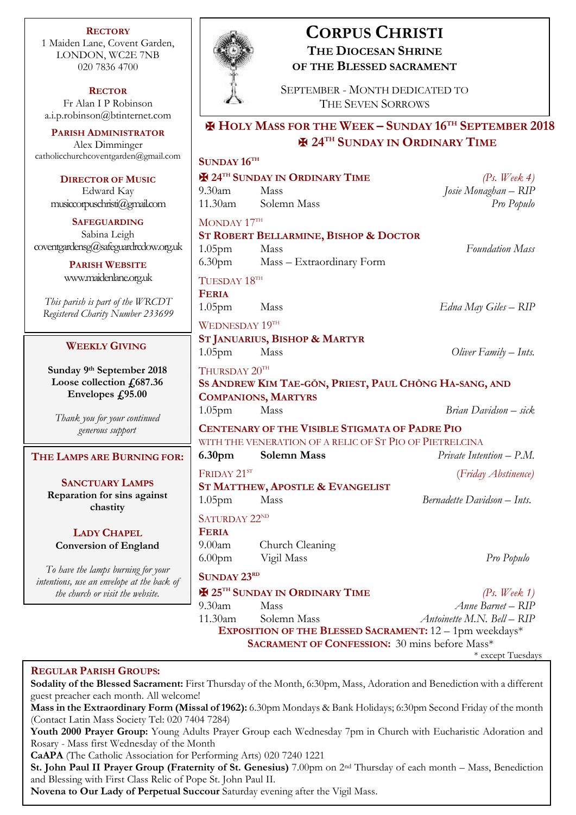**RECTORY** 1 Maiden Lane, Covent Garden, LONDON, WC2E 7NB 020 7836 4700

**RECTOR** Fr Alan I P Robinson [a.i.p.robinson@btinternet.com](mailto:a.i.p.robinson@btinternet.com)

**PARISH ADMINISTRATOR** Alex Dimminger [catholicchurchcoventgarden@gmail.com](mailto:catholicchurchcoventgarden@gmail.com)

**DIRECTOR OF MUSIC** Edward Kay musiccorpuschristi@gmail.com

**SAFEGUARDING** Sabina Leigh [coventgardensg@safeguardrcdow.org.uk](mailto:coventgardensg@safeguardrcdow.org.uk)

> **PARISH WEBSITE** [www.maidenlane.org.uk](http://www.maidenlane.org.uk/)

*This parish is part of the WRCDT Registered Charity Number 233699*

### **WEEKLY GIVING**

**Sunday 9 th September 2018 Loose collection £687.36 Envelopes £95.00**

*Thank you for your continued generous support*

#### **THE LAMPS ARE BURNING FOR:**

**SANCTUARY LAMPS Reparation for sins against chastity**

**LADY CHAPEL Conversion of England**

*To have the lamps burning for your intentions, use an envelope at the back of the church or visit the website.*



# **CORPUS CHRISTI THE DIOCESAN SHRINE OF THE BLESSED SACRAMENT**

SEPTEMBER - MONTH DEDICATED TO THE SEVEN SORROWS

# ✠ **HOLY MASS FOR THE WEEK – SUNDAY 16TH SEPTEMBER 2018** ✠ **24TH SUNDAY IN ORDINARY TIME**

# **SUNDAY 16TH** ✠ **24TH SUNDAY IN ORDINARY TIME** *(Ps. Week 4)* 9.30am Mass *Josie Monaghan – RIP* 11.30am Solemn Mass *Pro Populo* MONDAY 17TH **ST ROBERT BELLARMINE, BISHOP & DOCTOR** 1.05pm Mass *Foundation Mass* 6.30pm Mass – Extraordinary Form TUESDAY 18TH **FERIA** 1.05pm Mass *Edna May Giles – RIP* WEDNESDAY 19TH **ST JANUARIUS, BISHOP & MARTYR** 1.05pm Mass *Oliver Family – Ints.* THURSDAY  $20^{\text{TH}}$ **SS ANDREW KIM TAE-GŎN, PRIEST, PAUL CHŎNG HA-SANG, AND COMPANIONS, MARTYRS** 1.05pm Mass *Brian Davidson – sick* **CENTENARY OF THE VISIBLE STIGMATA OF PADRE PIO** WITH THE VENERATION OF A RELIC OF ST PIO OF PIETRELCINA **6.30pm Solemn Mass** *Private Intention – P.M.* FRIDAY 21ST (*Friday Abstinence)* **ST MATTHEW, APOSTLE & EVANGELIST** 1.05pm Mass *Bernadette Davidson – Ints.* SATURDAY 22<sup>ND</sup> **FERIA** 9.00am Church Cleaning 6.00pm Vigil Mass *Pro Populo* **SUNDAY 23RD** ✠ **25TH SUNDAY IN ORDINARY TIME** *(Ps. Week 1)* 9.30am Mass *Anne Barnet – RIP* 11.30am Solemn Mass *Antoinette M.N. Bell – RIP* **EXPOSITION OF THE BLESSED SACRAMENT:** 12 – 1pm weekdays\* **SACRAMENT OF CONFESSION:** 30 mins before Mass\* \* except Tuesdays

# **REGULAR PARISH GROUPS:**

**Sodality of the Blessed Sacrament:** First Thursday of the Month, 6:30pm, Mass, Adoration and Benediction with a different guest preacher each month. All welcome!

**Mass in the Extraordinary Form (Missal of 1962):** 6.30pm Mondays & Bank Holidays; 6:30pm Second Friday of the month (Contact Latin Mass Society Tel: 020 7404 7284)

**Youth 2000 Prayer Group:** Young Adults Prayer Group each Wednesday 7pm in Church with Eucharistic Adoration and Rosary - Mass first Wednesday of the Month

**CaAPA** (The Catholic Association for Performing Arts) 020 7240 1221

**St. John Paul II Prayer Group (Fraternity of St. Genesius)** 7.00pm on 2nd Thursday of each month – Mass, Benediction and Blessing with First Class Relic of Pope St. John Paul II.

**Novena to Our Lady of Perpetual Succour** Saturday evening after the Vigil Mass.